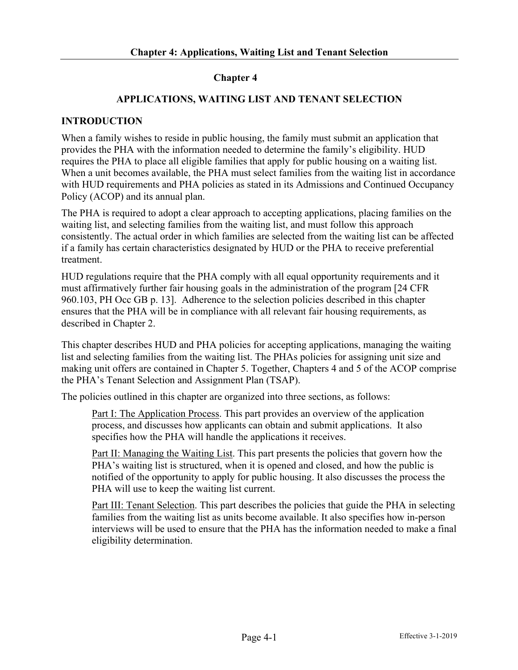## **Chapter 4**

## **APPLICATIONS, WAITING LIST AND TENANT SELECTION**

## **INTRODUCTION**

When a family wishes to reside in public housing, the family must submit an application that provides the PHA with the information needed to determine the family's eligibility. HUD requires the PHA to place all eligible families that apply for public housing on a waiting list. When a unit becomes available, the PHA must select families from the waiting list in accordance with HUD requirements and PHA policies as stated in its Admissions and Continued Occupancy Policy (ACOP) and its annual plan.

The PHA is required to adopt a clear approach to accepting applications, placing families on the waiting list, and selecting families from the waiting list, and must follow this approach consistently. The actual order in which families are selected from the waiting list can be affected if a family has certain characteristics designated by HUD or the PHA to receive preferential treatment.

HUD regulations require that the PHA comply with all equal opportunity requirements and it must affirmatively further fair housing goals in the administration of the program [24 CFR 960.103, PH Occ GB p. 13]. Adherence to the selection policies described in this chapter ensures that the PHA will be in compliance with all relevant fair housing requirements, as described in Chapter 2.

This chapter describes HUD and PHA policies for accepting applications, managing the waiting list and selecting families from the waiting list. The PHAs policies for assigning unit size and making unit offers are contained in Chapter 5. Together, Chapters 4 and 5 of the ACOP comprise the PHA's Tenant Selection and Assignment Plan (TSAP).

The policies outlined in this chapter are organized into three sections, as follows:

Part I: The Application Process. This part provides an overview of the application process, and discusses how applicants can obtain and submit applications. It also specifies how the PHA will handle the applications it receives.

Part II: Managing the Waiting List. This part presents the policies that govern how the PHA's waiting list is structured, when it is opened and closed, and how the public is notified of the opportunity to apply for public housing. It also discusses the process the PHA will use to keep the waiting list current.

Part III: Tenant Selection. This part describes the policies that guide the PHA in selecting families from the waiting list as units become available. It also specifies how in-person interviews will be used to ensure that the PHA has the information needed to make a final eligibility determination.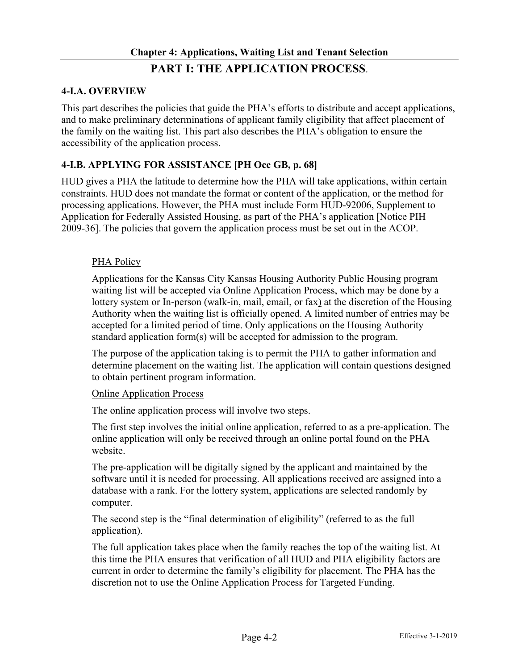## **4-I.A. OVERVIEW**

This part describes the policies that guide the PHA's efforts to distribute and accept applications, and to make preliminary determinations of applicant family eligibility that affect placement of the family on the waiting list. This part also describes the PHA's obligation to ensure the accessibility of the application process.

## **4-I.B. APPLYING FOR ASSISTANCE [PH Occ GB, p. 68]**

HUD gives a PHA the latitude to determine how the PHA will take applications, within certain constraints. HUD does not mandate the format or content of the application, or the method for processing applications. However, the PHA must include Form HUD-92006, Supplement to Application for Federally Assisted Housing, as part of the PHA's application [Notice PIH 2009-36]. The policies that govern the application process must be set out in the ACOP.

### PHA Policy

Applications for the Kansas City Kansas Housing Authority Public Housing program waiting list will be accepted via Online Application Process, which may be done by a lottery system or In-person (walk-in, mail, email, or fax) at the discretion of the Housing Authority when the waiting list is officially opened. A limited number of entries may be accepted for a limited period of time. Only applications on the Housing Authority standard application form(s) will be accepted for admission to the program.

The purpose of the application taking is to permit the PHA to gather information and determine placement on the waiting list. The application will contain questions designed to obtain pertinent program information.

#### Online Application Process

The online application process will involve two steps.

The first step involves the initial online application, referred to as a pre-application. The online application will only be received through an online portal found on the PHA website.

The pre-application will be digitally signed by the applicant and maintained by the software until it is needed for processing. All applications received are assigned into a database with a rank. For the lottery system, applications are selected randomly by computer.

The second step is the "final determination of eligibility" (referred to as the full application).

The full application takes place when the family reaches the top of the waiting list. At this time the PHA ensures that verification of all HUD and PHA eligibility factors are current in order to determine the family's eligibility for placement. The PHA has the discretion not to use the Online Application Process for Targeted Funding.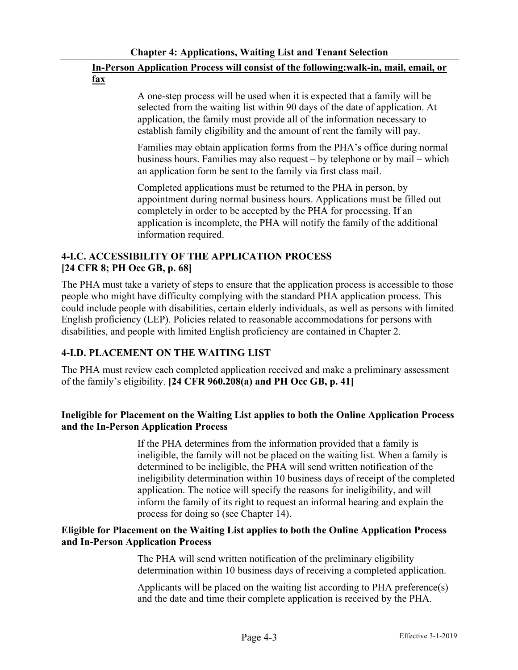# **In-Person Application Process will consist of the following:walk-in, mail, email, or fax**

A one-step process will be used when it is expected that a family will be selected from the waiting list within 90 days of the date of application. At application, the family must provide all of the information necessary to establish family eligibility and the amount of rent the family will pay.

Families may obtain application forms from the PHA's office during normal business hours. Families may also request – by telephone or by mail – which an application form be sent to the family via first class mail.

Completed applications must be returned to the PHA in person, by appointment during normal business hours. Applications must be filled out completely in order to be accepted by the PHA for processing. If an application is incomplete, the PHA will notify the family of the additional information required.

## **4-I.C. ACCESSIBILITY OF THE APPLICATION PROCESS [24 CFR 8; PH Occ GB, p. 68]**

The PHA must take a variety of steps to ensure that the application process is accessible to those people who might have difficulty complying with the standard PHA application process. This could include people with disabilities, certain elderly individuals, as well as persons with limited English proficiency (LEP). Policies related to reasonable accommodations for persons with disabilities, and people with limited English proficiency are contained in Chapter 2.

# **4-I.D. PLACEMENT ON THE WAITING LIST**

The PHA must review each completed application received and make a preliminary assessment of the family's eligibility. **[24 CFR 960.208(a) and PH Occ GB, p. 41]**

## **Ineligible for Placement on the Waiting List applies to both the Online Application Process and the In-Person Application Process**

If the PHA determines from the information provided that a family is ineligible, the family will not be placed on the waiting list. When a family is determined to be ineligible, the PHA will send written notification of the ineligibility determination within 10 business days of receipt of the completed application. The notice will specify the reasons for ineligibility, and will inform the family of its right to request an informal hearing and explain the process for doing so (see Chapter 14).

## **Eligible for Placement on the Waiting List applies to both the Online Application Process and In-Person Application Process**

The PHA will send written notification of the preliminary eligibility determination within 10 business days of receiving a completed application.

Applicants will be placed on the waiting list according to PHA preference(s) and the date and time their complete application is received by the PHA.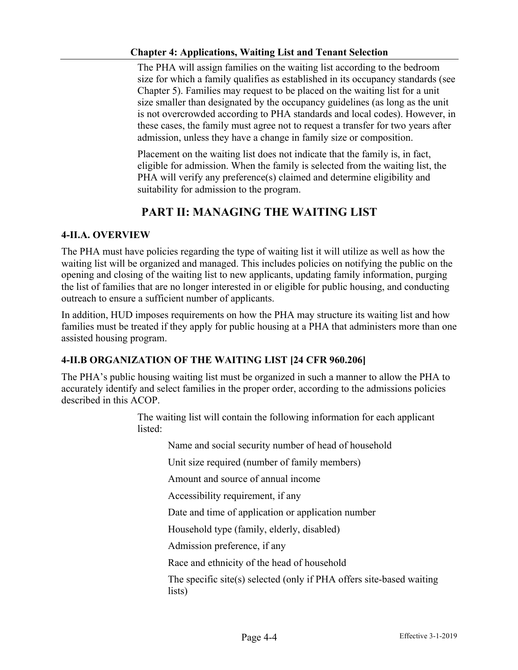The PHA will assign families on the waiting list according to the bedroom size for which a family qualifies as established in its occupancy standards (see Chapter 5). Families may request to be placed on the waiting list for a unit size smaller than designated by the occupancy guidelines (as long as the unit is not overcrowded according to PHA standards and local codes). However, in these cases, the family must agree not to request a transfer for two years after admission, unless they have a change in family size or composition.

Placement on the waiting list does not indicate that the family is, in fact, eligible for admission. When the family is selected from the waiting list, the PHA will verify any preference(s) claimed and determine eligibility and suitability for admission to the program.

# **PART II: MANAGING THE WAITING LIST**

### **4-II.A. OVERVIEW**

The PHA must have policies regarding the type of waiting list it will utilize as well as how the waiting list will be organized and managed. This includes policies on notifying the public on the opening and closing of the waiting list to new applicants, updating family information, purging the list of families that are no longer interested in or eligible for public housing, and conducting outreach to ensure a sufficient number of applicants.

In addition, HUD imposes requirements on how the PHA may structure its waiting list and how families must be treated if they apply for public housing at a PHA that administers more than one assisted housing program.

## **4-II.B ORGANIZATION OF THE WAITING LIST [24 CFR 960.206]**

The PHA's public housing waiting list must be organized in such a manner to allow the PHA to accurately identify and select families in the proper order, according to the admissions policies described in this ACOP.

> The waiting list will contain the following information for each applicant listed:

Name and social security number of head of household

Unit size required (number of family members)

Amount and source of annual income

Accessibility requirement, if any

Date and time of application or application number

Household type (family, elderly, disabled)

Admission preference, if any

Race and ethnicity of the head of household

The specific site(s) selected (only if PHA offers site-based waiting lists)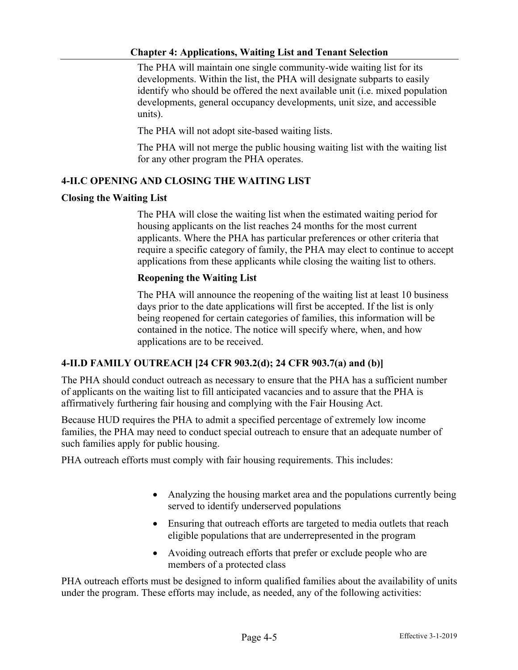The PHA will maintain one single community-wide waiting list for its developments. Within the list, the PHA will designate subparts to easily identify who should be offered the next available unit (i.e. mixed population developments, general occupancy developments, unit size, and accessible units).

The PHA will not adopt site-based waiting lists.

The PHA will not merge the public housing waiting list with the waiting list for any other program the PHA operates.

### **4-II.C OPENING AND CLOSING THE WAITING LIST**

### **Closing the Waiting List**

The PHA will close the waiting list when the estimated waiting period for housing applicants on the list reaches 24 months for the most current applicants. Where the PHA has particular preferences or other criteria that require a specific category of family, the PHA may elect to continue to accept applications from these applicants while closing the waiting list to others.

### **Reopening the Waiting List**

The PHA will announce the reopening of the waiting list at least 10 business days prior to the date applications will first be accepted. If the list is only being reopened for certain categories of families, this information will be contained in the notice. The notice will specify where, when, and how applications are to be received.

### **4-II.D FAMILY OUTREACH [24 CFR 903.2(d); 24 CFR 903.7(a) and (b)]**

The PHA should conduct outreach as necessary to ensure that the PHA has a sufficient number of applicants on the waiting list to fill anticipated vacancies and to assure that the PHA is affirmatively furthering fair housing and complying with the Fair Housing Act.

Because HUD requires the PHA to admit a specified percentage of extremely low income families, the PHA may need to conduct special outreach to ensure that an adequate number of such families apply for public housing.

PHA outreach efforts must comply with fair housing requirements. This includes:

- Analyzing the housing market area and the populations currently being served to identify underserved populations
- Ensuring that outreach efforts are targeted to media outlets that reach eligible populations that are underrepresented in the program
- Avoiding outreach efforts that prefer or exclude people who are members of a protected class

PHA outreach efforts must be designed to inform qualified families about the availability of units under the program. These efforts may include, as needed, any of the following activities: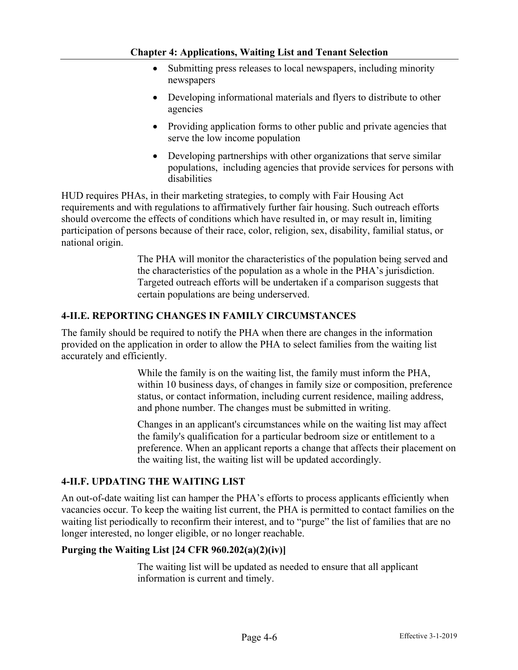- Submitting press releases to local newspapers, including minority newspapers
- Developing informational materials and flyers to distribute to other agencies
- Providing application forms to other public and private agencies that serve the low income population
- Developing partnerships with other organizations that serve similar populations, including agencies that provide services for persons with disabilities

HUD requires PHAs, in their marketing strategies, to comply with Fair Housing Act requirements and with regulations to affirmatively further fair housing. Such outreach efforts should overcome the effects of conditions which have resulted in, or may result in, limiting participation of persons because of their race, color, religion, sex, disability, familial status, or national origin.

> The PHA will monitor the characteristics of the population being served and the characteristics of the population as a whole in the PHA's jurisdiction. Targeted outreach efforts will be undertaken if a comparison suggests that certain populations are being underserved.

### **4-II.E. REPORTING CHANGES IN FAMILY CIRCUMSTANCES**

The family should be required to notify the PHA when there are changes in the information provided on the application in order to allow the PHA to select families from the waiting list accurately and efficiently.

> While the family is on the waiting list, the family must inform the PHA, within 10 business days, of changes in family size or composition, preference status, or contact information, including current residence, mailing address, and phone number. The changes must be submitted in writing.

> Changes in an applicant's circumstances while on the waiting list may affect the family's qualification for a particular bedroom size or entitlement to a preference. When an applicant reports a change that affects their placement on the waiting list, the waiting list will be updated accordingly.

### **4-II.F. UPDATING THE WAITING LIST**

An out-of-date waiting list can hamper the PHA's efforts to process applicants efficiently when vacancies occur. To keep the waiting list current, the PHA is permitted to contact families on the waiting list periodically to reconfirm their interest, and to "purge" the list of families that are no longer interested, no longer eligible, or no longer reachable.

### **Purging the Waiting List [24 CFR 960.202(a)(2)(iv)]**

The waiting list will be updated as needed to ensure that all applicant information is current and timely.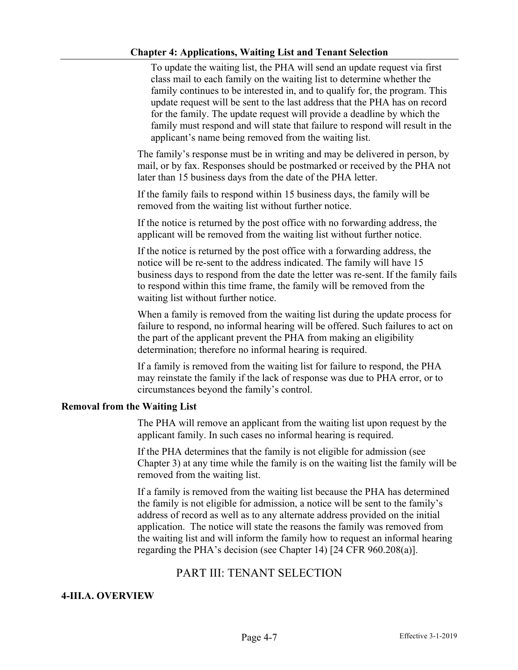To update the waiting list, the PHA will send an update request via first class mail to each family on the waiting list to determine whether the family continues to be interested in, and to qualify for, the program. This update request will be sent to the last address that the PHA has on record for the family. The update request will provide a deadline by which the family must respond and will state that failure to respond will result in the applicant's name being removed from the waiting list.

The family's response must be in writing and may be delivered in person, by mail, or by fax. Responses should be postmarked or received by the PHA not later than 15 business days from the date of the PHA letter.

If the family fails to respond within 15 business days, the family will be removed from the waiting list without further notice.

If the notice is returned by the post office with no forwarding address, the applicant will be removed from the waiting list without further notice.

If the notice is returned by the post office with a forwarding address, the notice will be re-sent to the address indicated. The family will have 15 business days to respond from the date the letter was re-sent. If the family fails to respond within this time frame, the family will be removed from the waiting list without further notice.

When a family is removed from the waiting list during the update process for failure to respond, no informal hearing will be offered. Such failures to act on the part of the applicant prevent the PHA from making an eligibility determination; therefore no informal hearing is required.

If a family is removed from the waiting list for failure to respond, the PHA may reinstate the family if the lack of response was due to PHA error, or to circumstances beyond the family's control.

### **Removal from the Waiting List**

The PHA will remove an applicant from the waiting list upon request by the applicant family. In such cases no informal hearing is required.

If the PHA determines that the family is not eligible for admission (see Chapter 3) at any time while the family is on the waiting list the family will be removed from the waiting list.

If a family is removed from the waiting list because the PHA has determined the family is not eligible for admission, a notice will be sent to the family's address of record as well as to any alternate address provided on the initial application. The notice will state the reasons the family was removed from the waiting list and will inform the family how to request an informal hearing regarding the PHA's decision (see Chapter 14) [24 CFR 960.208(a)].

# PART III: TENANT SELECTION

### **4-III.A. OVERVIEW**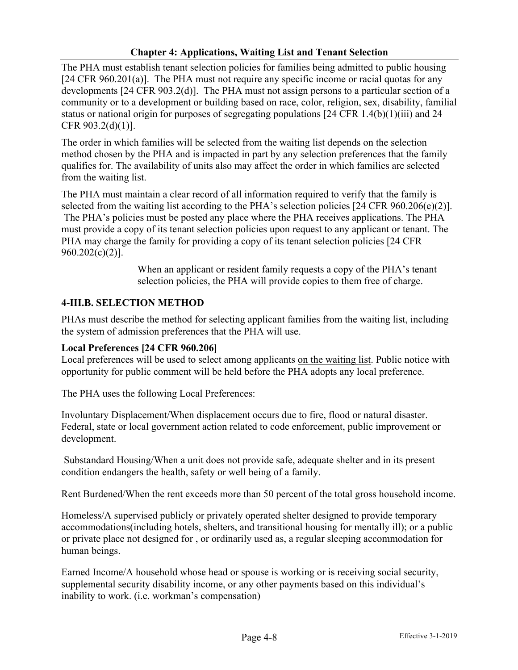The PHA must establish tenant selection policies for families being admitted to public housing [24 CFR 960.201(a)]. The PHA must not require any specific income or racial quotas for any developments [24 CFR 903.2(d)]. The PHA must not assign persons to a particular section of a community or to a development or building based on race, color, religion, sex, disability, familial status or national origin for purposes of segregating populations [24 CFR 1.4(b)(1)(iii) and 24 CFR 903.2(d)(1)].

The order in which families will be selected from the waiting list depends on the selection method chosen by the PHA and is impacted in part by any selection preferences that the family qualifies for. The availability of units also may affect the order in which families are selected from the waiting list.

The PHA must maintain a clear record of all information required to verify that the family is selected from the waiting list according to the PHA's selection policies [24 CFR 960.206(e)(2)]. The PHA's policies must be posted any place where the PHA receives applications. The PHA must provide a copy of its tenant selection policies upon request to any applicant or tenant. The PHA may charge the family for providing a copy of its tenant selection policies [24 CFR 960.202(c)(2)].

> When an applicant or resident family requests a copy of the PHA's tenant selection policies, the PHA will provide copies to them free of charge.

## **4-III.B. SELECTION METHOD**

PHAs must describe the method for selecting applicant families from the waiting list, including the system of admission preferences that the PHA will use.

## **Local Preferences [24 CFR 960.206]**

Local preferences will be used to select among applicants on the waiting list. Public notice with opportunity for public comment will be held before the PHA adopts any local preference.

The PHA uses the following Local Preferences:

Involuntary Displacement/When displacement occurs due to fire, flood or natural disaster. Federal, state or local government action related to code enforcement, public improvement or development.

Substandard Housing/When a unit does not provide safe, adequate shelter and in its present condition endangers the health, safety or well being of a family.

Rent Burdened/When the rent exceeds more than 50 percent of the total gross household income.

Homeless/A supervised publicly or privately operated shelter designed to provide temporary accommodations(including hotels, shelters, and transitional housing for mentally ill); or a public or private place not designed for , or ordinarily used as, a regular sleeping accommodation for human beings.

Earned Income/A household whose head or spouse is working or is receiving social security, supplemental security disability income, or any other payments based on this individual's inability to work. (i.e. workman's compensation)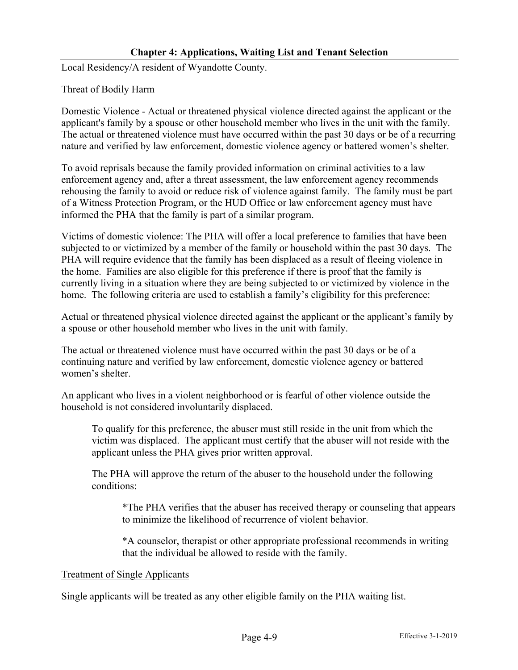Local Residency/A resident of Wyandotte County.

Threat of Bodily Harm

Domestic Violence - Actual or threatened physical violence directed against the applicant or the applicant's family by a spouse or other household member who lives in the unit with the family. The actual or threatened violence must have occurred within the past 30 days or be of a recurring nature and verified by law enforcement, domestic violence agency or battered women's shelter.

To avoid reprisals because the family provided information on criminal activities to a law enforcement agency and, after a threat assessment, the law enforcement agency recommends rehousing the family to avoid or reduce risk of violence against family. The family must be part of a Witness Protection Program, or the HUD Office or law enforcement agency must have informed the PHA that the family is part of a similar program.

Victims of domestic violence: The PHA will offer a local preference to families that have been subjected to or victimized by a member of the family or household within the past 30 days. The PHA will require evidence that the family has been displaced as a result of fleeing violence in the home. Families are also eligible for this preference if there is proof that the family is currently living in a situation where they are being subjected to or victimized by violence in the home. The following criteria are used to establish a family's eligibility for this preference:

Actual or threatened physical violence directed against the applicant or the applicant's family by a spouse or other household member who lives in the unit with family.

The actual or threatened violence must have occurred within the past 30 days or be of a continuing nature and verified by law enforcement, domestic violence agency or battered women's shelter.

An applicant who lives in a violent neighborhood or is fearful of other violence outside the household is not considered involuntarily displaced.

To qualify for this preference, the abuser must still reside in the unit from which the victim was displaced. The applicant must certify that the abuser will not reside with the applicant unless the PHA gives prior written approval.

The PHA will approve the return of the abuser to the household under the following conditions:

\*The PHA verifies that the abuser has received therapy or counseling that appears to minimize the likelihood of recurrence of violent behavior.

\*A counselor, therapist or other appropriate professional recommends in writing that the individual be allowed to reside with the family.

### Treatment of Single Applicants

Single applicants will be treated as any other eligible family on the PHA waiting list.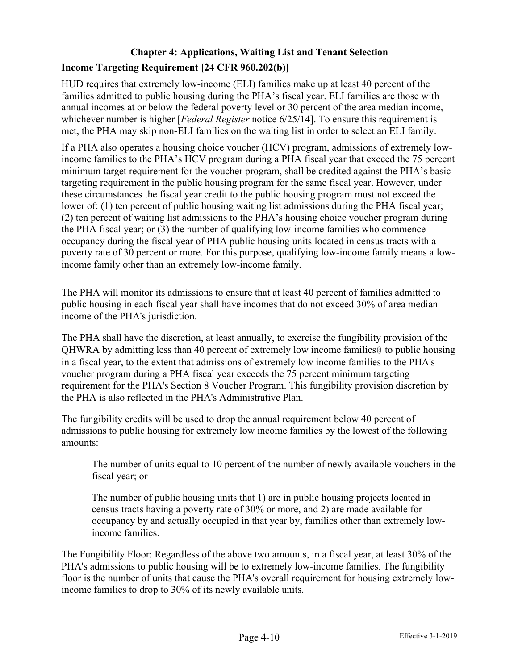# **Income Targeting Requirement [24 CFR 960.202(b)]**

HUD requires that extremely low-income (ELI) families make up at least 40 percent of the families admitted to public housing during the PHA's fiscal year. ELI families are those with annual incomes at or below the federal poverty level or 30 percent of the area median income, whichever number is higher [*Federal Register* notice 6/25/14]. To ensure this requirement is met, the PHA may skip non-ELI families on the waiting list in order to select an ELI family.

If a PHA also operates a housing choice voucher (HCV) program, admissions of extremely lowincome families to the PHA's HCV program during a PHA fiscal year that exceed the 75 percent minimum target requirement for the voucher program, shall be credited against the PHA's basic targeting requirement in the public housing program for the same fiscal year. However, under these circumstances the fiscal year credit to the public housing program must not exceed the lower of: (1) ten percent of public housing waiting list admissions during the PHA fiscal year; (2) ten percent of waiting list admissions to the PHA's housing choice voucher program during the PHA fiscal year; or (3) the number of qualifying low-income families who commence occupancy during the fiscal year of PHA public housing units located in census tracts with a poverty rate of 30 percent or more. For this purpose, qualifying low-income family means a lowincome family other than an extremely low-income family.

The PHA will monitor its admissions to ensure that at least 40 percent of families admitted to public housing in each fiscal year shall have incomes that do not exceed 30% of area median income of the PHA's jurisdiction.

The PHA shall have the discretion, at least annually, to exercise the fungibility provision of the QHWRA by admitting less than 40 percent of extremely low income families@ to public housing in a fiscal year, to the extent that admissions of extremely low income families to the PHA's voucher program during a PHA fiscal year exceeds the 75 percent minimum targeting requirement for the PHA's Section 8 Voucher Program. This fungibility provision discretion by the PHA is also reflected in the PHA's Administrative Plan.

The fungibility credits will be used to drop the annual requirement below 40 percent of admissions to public housing for extremely low income families by the lowest of the following amounts:

The number of units equal to 10 percent of the number of newly available vouchers in the fiscal year; or

The number of public housing units that 1) are in public housing projects located in census tracts having a poverty rate of 30% or more, and 2) are made available for occupancy by and actually occupied in that year by, families other than extremely lowincome families.

The Fungibility Floor: Regardless of the above two amounts, in a fiscal year, at least 30% of the PHA's admissions to public housing will be to extremely low-income families. The fungibility floor is the number of units that cause the PHA's overall requirement for housing extremely lowincome families to drop to 30% of its newly available units.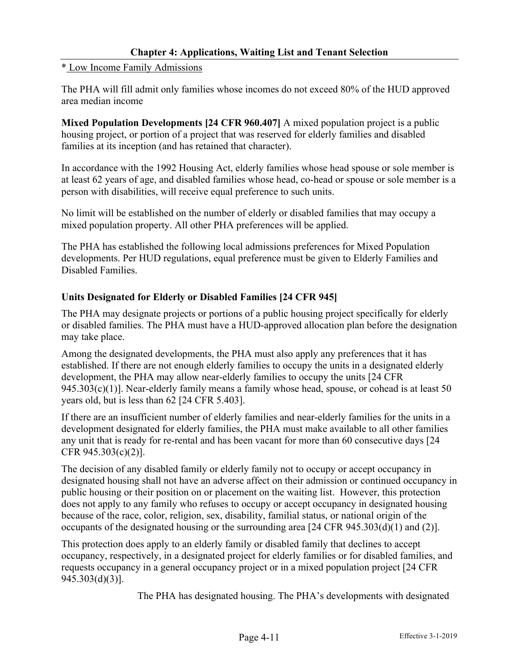### \* Low Income Family Admissions

The PHA will fill admit only families whose incomes do not exceed 80% of the HUD approved area median income

**Mixed Population Developments [24 CFR 960.407]** A mixed population project is a public housing project, or portion of a project that was reserved for elderly families and disabled families at its inception (and has retained that character).

In accordance with the 1992 Housing Act, elderly families whose head spouse or sole member is at least 62 years of age, and disabled families whose head, co-head or spouse or sole member is a person with disabilities, will receive equal preference to such units.

No limit will be established on the number of elderly or disabled families that may occupy a mixed population property. All other PHA preferences will be applied.

The PHA has established the following local admissions preferences for Mixed Population developments. Per HUD regulations, equal preference must be given to Elderly Families and Disabled Families.

## **Units Designated for Elderly or Disabled Families [24 CFR 945]**

The PHA may designate projects or portions of a public housing project specifically for elderly or disabled families. The PHA must have a HUD-approved allocation plan before the designation may take place.

Among the designated developments, the PHA must also apply any preferences that it has established. If there are not enough elderly families to occupy the units in a designated elderly development, the PHA may allow near-elderly families to occupy the units [24 CFR  $945.303(c)(1)$ ]. Near-elderly family means a family whose head, spouse, or cohead is at least 50 years old, but is less than 62 [24 CFR 5.403].

If there are an insufficient number of elderly families and near-elderly families for the units in a development designated for elderly families, the PHA must make available to all other families any unit that is ready for re-rental and has been vacant for more than 60 consecutive days [24 CFR 945.303(c)(2)].

The decision of any disabled family or elderly family not to occupy or accept occupancy in designated housing shall not have an adverse affect on their admission or continued occupancy in public housing or their position on or placement on the waiting list. However, this protection does not apply to any family who refuses to occupy or accept occupancy in designated housing because of the race, color, religion, sex, disability, familial status, or national origin of the occupants of the designated housing or the surrounding area [24 CFR 945.303(d)(1) and (2)].

This protection does apply to an elderly family or disabled family that declines to accept occupancy, respectively, in a designated project for elderly families or for disabled families, and requests occupancy in a general occupancy project or in a mixed population project [24 CFR 945.303(d)(3)].

The PHA has designated housing. The PHA's developments with designated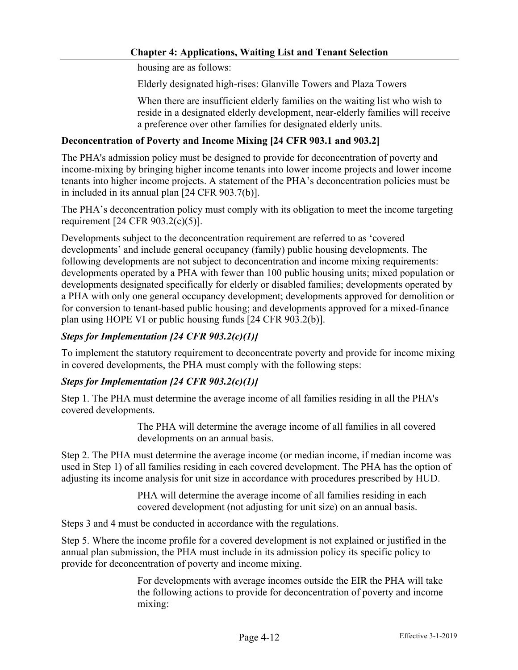housing are as follows:

Elderly designated high-rises: Glanville Towers and Plaza Towers

When there are insufficient elderly families on the waiting list who wish to reside in a designated elderly development, near-elderly families will receive a preference over other families for designated elderly units.

### **Deconcentration of Poverty and Income Mixing [24 CFR 903.1 and 903.2]**

The PHA's admission policy must be designed to provide for deconcentration of poverty and income-mixing by bringing higher income tenants into lower income projects and lower income tenants into higher income projects. A statement of the PHA's deconcentration policies must be in included in its annual plan [24 CFR 903.7(b)].

The PHA's deconcentration policy must comply with its obligation to meet the income targeting requirement [24 CFR 903.2(c)(5)].

Developments subject to the deconcentration requirement are referred to as 'covered developments' and include general occupancy (family) public housing developments. The following developments are not subject to deconcentration and income mixing requirements: developments operated by a PHA with fewer than 100 public housing units; mixed population or developments designated specifically for elderly or disabled families; developments operated by a PHA with only one general occupancy development; developments approved for demolition or for conversion to tenant-based public housing; and developments approved for a mixed-finance plan using HOPE VI or public housing funds [24 CFR 903.2(b)].

### *Steps for Implementation [24 CFR 903.2(c)(1)]*

To implement the statutory requirement to deconcentrate poverty and provide for income mixing in covered developments, the PHA must comply with the following steps:

## *Steps for Implementation [24 CFR 903.2(c)(1)]*

Step 1. The PHA must determine the average income of all families residing in all the PHA's covered developments.

> The PHA will determine the average income of all families in all covered developments on an annual basis.

Step 2. The PHA must determine the average income (or median income, if median income was used in Step 1) of all families residing in each covered development. The PHA has the option of adjusting its income analysis for unit size in accordance with procedures prescribed by HUD.

> PHA will determine the average income of all families residing in each covered development (not adjusting for unit size) on an annual basis.

Steps 3 and 4 must be conducted in accordance with the regulations.

Step 5. Where the income profile for a covered development is not explained or justified in the annual plan submission, the PHA must include in its admission policy its specific policy to provide for deconcentration of poverty and income mixing.

> For developments with average incomes outside the EIR the PHA will take the following actions to provide for deconcentration of poverty and income mixing: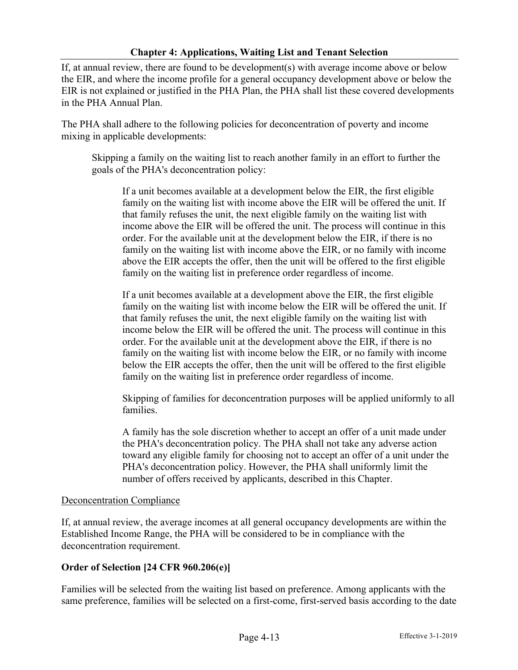If, at annual review, there are found to be development(s) with average income above or below the EIR, and where the income profile for a general occupancy development above or below the EIR is not explained or justified in the PHA Plan, the PHA shall list these covered developments in the PHA Annual Plan.

The PHA shall adhere to the following policies for deconcentration of poverty and income mixing in applicable developments:

Skipping a family on the waiting list to reach another family in an effort to further the goals of the PHA's deconcentration policy:

If a unit becomes available at a development below the EIR, the first eligible family on the waiting list with income above the EIR will be offered the unit. If that family refuses the unit, the next eligible family on the waiting list with income above the EIR will be offered the unit. The process will continue in this order. For the available unit at the development below the EIR, if there is no family on the waiting list with income above the EIR, or no family with income above the EIR accepts the offer, then the unit will be offered to the first eligible family on the waiting list in preference order regardless of income.

If a unit becomes available at a development above the EIR, the first eligible family on the waiting list with income below the EIR will be offered the unit. If that family refuses the unit, the next eligible family on the waiting list with income below the EIR will be offered the unit. The process will continue in this order. For the available unit at the development above the EIR, if there is no family on the waiting list with income below the EIR, or no family with income below the EIR accepts the offer, then the unit will be offered to the first eligible family on the waiting list in preference order regardless of income.

Skipping of families for deconcentration purposes will be applied uniformly to all families.

A family has the sole discretion whether to accept an offer of a unit made under the PHA's deconcentration policy. The PHA shall not take any adverse action toward any eligible family for choosing not to accept an offer of a unit under the PHA's deconcentration policy. However, the PHA shall uniformly limit the number of offers received by applicants, described in this Chapter.

### Deconcentration Compliance

If, at annual review, the average incomes at all general occupancy developments are within the Established Income Range, the PHA will be considered to be in compliance with the deconcentration requirement.

## **Order of Selection [24 CFR 960.206(e)]**

Families will be selected from the waiting list based on preference. Among applicants with the same preference, families will be selected on a first-come, first-served basis according to the date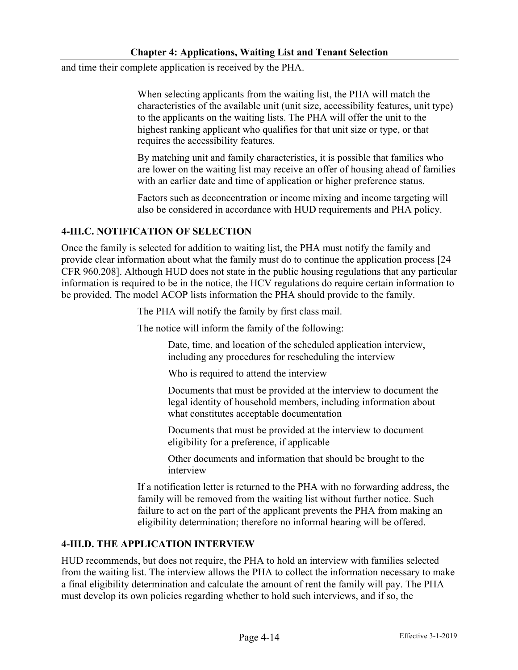and time their complete application is received by the PHA.

When selecting applicants from the waiting list, the PHA will match the characteristics of the available unit (unit size, accessibility features, unit type) to the applicants on the waiting lists. The PHA will offer the unit to the highest ranking applicant who qualifies for that unit size or type, or that requires the accessibility features.

By matching unit and family characteristics, it is possible that families who are lower on the waiting list may receive an offer of housing ahead of families with an earlier date and time of application or higher preference status.

Factors such as deconcentration or income mixing and income targeting will also be considered in accordance with HUD requirements and PHA policy.

## **4-III.C. NOTIFICATION OF SELECTION**

Once the family is selected for addition to waiting list, the PHA must notify the family and provide clear information about what the family must do to continue the application process [24 CFR 960.208]. Although HUD does not state in the public housing regulations that any particular information is required to be in the notice, the HCV regulations do require certain information to be provided. The model ACOP lists information the PHA should provide to the family.

The PHA will notify the family by first class mail.

The notice will inform the family of the following:

Date, time, and location of the scheduled application interview, including any procedures for rescheduling the interview

Who is required to attend the interview

Documents that must be provided at the interview to document the legal identity of household members, including information about what constitutes acceptable documentation

Documents that must be provided at the interview to document eligibility for a preference, if applicable

Other documents and information that should be brought to the interview

If a notification letter is returned to the PHA with no forwarding address, the family will be removed from the waiting list without further notice. Such failure to act on the part of the applicant prevents the PHA from making an eligibility determination; therefore no informal hearing will be offered.

## **4-III.D. THE APPLICATION INTERVIEW**

HUD recommends, but does not require, the PHA to hold an interview with families selected from the waiting list. The interview allows the PHA to collect the information necessary to make a final eligibility determination and calculate the amount of rent the family will pay. The PHA must develop its own policies regarding whether to hold such interviews, and if so, the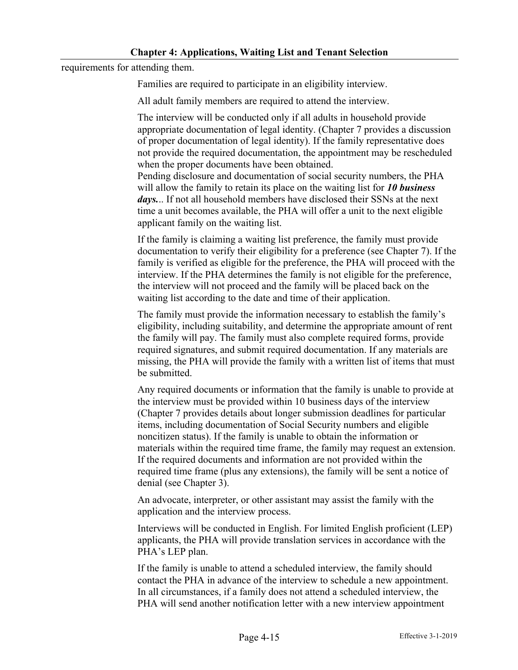requirements for attending them.

Families are required to participate in an eligibility interview.

All adult family members are required to attend the interview.

The interview will be conducted only if all adults in household provide appropriate documentation of legal identity. (Chapter 7 provides a discussion of proper documentation of legal identity). If the family representative does not provide the required documentation, the appointment may be rescheduled when the proper documents have been obtained.

Pending disclosure and documentation of social security numbers, the PHA will allow the family to retain its place on the waiting list for *10 business*  days... If not all household members have disclosed their SSNs at the next time a unit becomes available, the PHA will offer a unit to the next eligible applicant family on the waiting list.

If the family is claiming a waiting list preference, the family must provide documentation to verify their eligibility for a preference (see Chapter 7). If the family is verified as eligible for the preference, the PHA will proceed with the interview. If the PHA determines the family is not eligible for the preference, the interview will not proceed and the family will be placed back on the waiting list according to the date and time of their application.

The family must provide the information necessary to establish the family's eligibility, including suitability, and determine the appropriate amount of rent the family will pay. The family must also complete required forms, provide required signatures, and submit required documentation. If any materials are missing, the PHA will provide the family with a written list of items that must be submitted.

Any required documents or information that the family is unable to provide at the interview must be provided within 10 business days of the interview (Chapter 7 provides details about longer submission deadlines for particular items, including documentation of Social Security numbers and eligible noncitizen status). If the family is unable to obtain the information or materials within the required time frame, the family may request an extension. If the required documents and information are not provided within the required time frame (plus any extensions), the family will be sent a notice of denial (see Chapter 3).

An advocate, interpreter, or other assistant may assist the family with the application and the interview process.

Interviews will be conducted in English. For limited English proficient (LEP) applicants, the PHA will provide translation services in accordance with the PHA's LEP plan.

If the family is unable to attend a scheduled interview, the family should contact the PHA in advance of the interview to schedule a new appointment. In all circumstances, if a family does not attend a scheduled interview, the PHA will send another notification letter with a new interview appointment